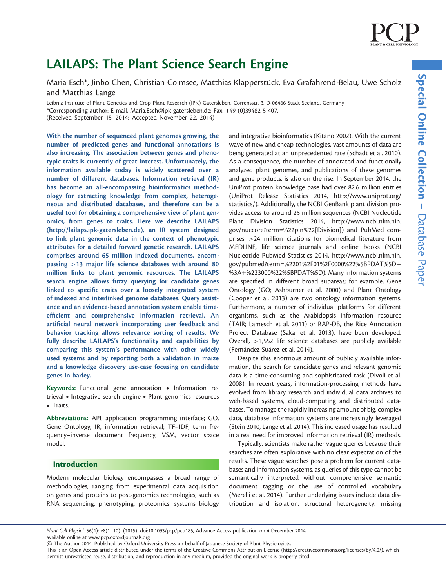# LAILAPS: The Plant Science Search Engine

Maria Esch\*, Jinbo Chen, Christian Colmsee, Matthias Klapperstück, Eva Grafahrend-Belau, Uwe Scholz and Matthias Lange

Leibniz Institute of Plant Genetics and Crop Plant Research (IPK) Gatersleben, Corrensstr. 3, D-06466 Stadt Seeland, Germany \*Corresponding author: E-mail, Maria.Esch@ipk-gatersleben.de; Fax, +49 (0)39482 5 407. (Received September 15, 2014; Accepted November 22, 2014)

With the number of sequenced plant genomes growing, the number of predicted genes and functional annotations is also increasing. The association between genes and phenotypic traits is currently of great interest. Unfortunately, the information available today is widely scattered over a number of different databases. Information retrieval (IR) has become an all-encompassing bioinformatics methodology for extracting knowledge from complex, heterogeneous and distributed databases, and therefore can be a useful tool for obtaining a comprehensive view of plant genomics, from genes to traits. Here we describe LAILAPS ([http://lailaps.ipk-gatersleben.de\)](http://lailaps.ipk-gatersleben.de), an IR system designed to link plant genomic data in the context of phenotypic attributes for a detailed forward genetic research. LAILAPS comprises around 65 million indexed documents, encompassing >13 major life science databases with around 80 million links to plant genomic resources. The LAILAPS search engine allows fuzzy querying for candidate genes linked to specific traits over a loosely integrated system of indexed and interlinked genome databases. Query assistance and an evidence-based annotation system enable timeefficient and comprehensive information retrieval. An artificial neural network incorporating user feedback and behavior tracking allows relevance sorting of results. We fully describe LAILAPS's functionality and capabilities by comparing this system's performance with other widely used systems and by reporting both a validation in maize and a knowledge discovery use-case focusing on candidate genes in barley.

Keywords: Functional gene annotation . Information retrieval • Integrative search engine • Plant genomics resources • Traits.

Abbreviations: API, application programming interface; GO, Gene Ontology; IR, information retrieval; TF–IDF, term frequency–inverse document frequency; VSM, vector space model.

## Introduction

Modern molecular biology encompasses a broad range of methodologies, ranging from experimental data acquisition on genes and proteins to post-genomics technologies, such as RNA sequencing, phenotyping, proteomics, systems biology

and integrative bioinformatics ([Kitano 2002](#page-8-0)). With the current wave of new and cheap technologies, vast amounts of data are being generated at an unprecedented rate [\(Schadt et al. 2010](#page-8-0)). As a consequence, the number of annotated and functionally analyzed plant genomes, and publications of these genomes and gene products, is also on the rise. In September 2014, the UniProt protein knowledge base had over 82.6 million entries ([UniProt Release Statistics 2014](#page-9-0), [http://www.uniprot.org/](http://www.uniprot.org/statistics/) [statistics/\)](http://www.uniprot.org/statistics/). Additionally, the NCBI GenBank plant division provides access to around 25 million sequences ([NCBI Nucleotide](#page-8-0) [Plant Division Statistics 2014,](#page-8-0) [http://www.ncbi.nlm.nih.](http://www.ncbi.nlm.nih.gov/nuccore?term=%22pln%22[Division) [gov/nuccore?term=%22pln%22\[Division\]](http://www.ncbi.nlm.nih.gov/nuccore?term=%22pln%22[Division)) and PubMed comprises >24 million citations for biomedical literature from MEDLINE, life science journals and online books [\(NCBI](#page-8-0) [Nucleotide PubMed Statistics 2014,](#page-8-0) [http://www.ncbi.nlm.nih.](http://www.ncbi.nlm.nih.gov/pubmed?term=%2201%2F01%2F0000%22%5BPDAT%5D%3A%223000%22%5BPDAT%5D) [gov/pubmed?term=%2201%2F01%2F0000%22%5BPDAT%5D](http://www.ncbi.nlm.nih.gov/pubmed?term=%2201%2F01%2F0000%22%5BPDAT%5D%3A%223000%22%5BPDAT%5D)+ [%3A](http://www.ncbi.nlm.nih.gov/pubmed?term=%2201%2F01%2F0000%22%5BPDAT%5D%3A%223000%22%5BPDAT%5D)+[%223000%22%5BPDAT%5D\)](http://www.ncbi.nlm.nih.gov/pubmed?term=%2201%2F01%2F0000%22%5BPDAT%5D%3A%223000%22%5BPDAT%5D). Many information systems are specified in different broad subareas; for example, Gene Ontology (GO; [Ashburner et al. 2000](#page-8-0)) and Plant Ontology ([Cooper et al. 2013\)](#page-8-0) are two ontology information systems. Furthermore, a number of individual platforms for different organisms, such as the Arabidopsis information resource (TAIR; [Lamesch et al. 2011](#page-8-0)) or RAP-DB, the Rice Annotation Project Database [\(Sakai et al. 2013\)](#page-8-0), have been developed. Overall, >1,552 life science databases are publicly available (Fernández-Suárez et al. 2014).

Despite this enormous amount of publicly available information, the search for candidate genes and relevant genomic data is a time-consuming and sophisticated task ([Divoli et al.](#page-8-0) [2008\)](#page-8-0). In recent years, information-processing methods have evolved from library research and individual data archives to web-based systems, cloud-computing and distributed databases. To manage the rapidly increasing amount of big, complex data, database information systems are increasingly leveraged ([Stein 2010,](#page-9-0) [Lange et al. 2014](#page-8-0)). This increased usage has resulted in a real need for improved information retrieval (IR) methods.

Typically, scientists make rather vague queries because their searches are often explorative with no clear expectation of the results. These vague searches pose a problem for current databases and information systems, as queries of this type cannot be semantically interpreted without comprehensive semantic document tagging or the use of controlled vocabulary ([Merelli et al. 2014\)](#page-8-0). Further underlying issues include data distribution and isolation, structural heterogeneity, missing

available online at www.pcp.oxfordjournals.org

This is an Open Access article distributed under the terms of the Creative Commons Attribution License (<http://creativecommons.org/licenses/by/4.0/>), which permits unrestricted reuse, distribution, and reproduction in any medium, provided the original work is properly cited.

Plant Cell Physiol. 56(1): e8(1–10) (2015) doi:10.1093/pcp/pcu185, Advance Access publication on 4 December 2014,

<sup>!</sup> The Author 2014. Published by Oxford University Press on behalf of Japanese Society of Plant Physiologists.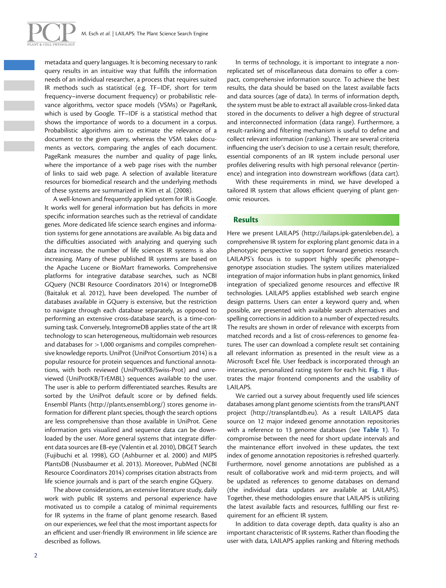

metadata and query languages. It is becoming necessary to rank query results in an intuitive way that fulfills the information needs of an individual researcher, a process that requires suited IR methods such as statistical (e.g. TF–IDF, short for term frequency–inverse document frequency) or probabilistic relevance algorithms, vector space models (VSMs) or PageRank, which is used by Google. TF–IDF is a statistical method that shows the importance of words to a document in a corpus. Probabilistic algorithms aim to estimate the relevance of a document to the given query, whereas the VSM takes documents as vectors, comparing the angles of each document. PageRank measures the number and quality of page links, where the importance of a web page rises with the number of links to said web page. A selection of available literature resources for biomedical research and the underlying methods of these systems are summarized in [Kim et al. \(2008\).](#page-8-0)

A well-known and frequently applied system for IR is Google. It works well for general information but has deficits in more specific information searches such as the retrieval of candidate genes. More dedicated life science search engines and information systems for gene annotations are available. As big data and the difficulties associated with analyzing and querying such data increase, the number of life sciences IR systems is also increasing. Many of these published IR systems are based on the Apache Lucene or BioMart frameworks. Comprehensive platforms for integrative database searches, such as NCBI GQuery [\(NCBI Resource Coordinators 2014](#page-8-0)) or IntegromeDB ([Baitaluk et al. 2012\),](#page-8-0) have been developed. The number of databases available in GQuery is extensive, but the restriction to navigate through each database separately, as opposed to performing an extensive cross-database search, is a time-consuming task. Conversely, IntegromeDB applies state of the art IR technology to scan heterogeneous, multidomain web resources and databases for  $>1,000$  organisms and compiles comprehensive knowledge reports. UniProt [\(UniProt Consortium 2014\)](#page-9-0) is a popular resource for protein sequences and functional annotations, with both reviewed (UniProtKB/Swiss-Prot) and unreviewed (UniProtKB/TrEMBL) sequences available to the user. The user is able to perform differentiated searches. Results are sorted by the UniProt default score or by defined fields. Ensembl Plants ([http://plants.ensembl.org/\)](http://plants.ensembl.org/) stores genome information for different plant species, though the search options are less comprehensive than those available in UniProt. Gene information gets visualized and sequence data can be downloaded by the user. More general systems that integrate different data sources are EB-eye ([Valentin et al. 2010\)](#page-9-0), DBGET Search ([Fujibuchi et al. 1998](#page-8-0)), GO ([Ashburner et al. 2000\)](#page-8-0) and MIPS PlantsDB [\(Nussbaumer et al. 2013](#page-8-0)). Moreover, PubMed [\(NCBI](#page-8-0) [Resource Coordinators 2014](#page-8-0)) comprises citation abstracts from life science journals and is part of the search engine GQuery.

The above considerations, an extensive literature study, daily work with public IR systems and personal experience have motivated us to compile a catalog of minimal requirements for IR systems in the frame of plant genome research. Based on our experiences, we feel that the most important aspects for an efficient and user-friendly IR environment in life science are described as follows.

In terms of technology, it is important to integrate a nonreplicated set of miscellaneous data domains to offer a compact, comprehensive information source. To achieve the best results, the data should be based on the latest available facts and data sources (age of data). In terms of information depth, the system must be able to extract all available cross-linked data stored in the documents to deliver a high degree of structural and interconnected information (data range). Furthermore, a result-ranking and filtering mechanism is useful to define and collect relevant information (ranking). There are several criteria influencing the user's decision to use a certain result; therefore, essential components of an IR system include personal user profiles delivering results with high personal relevance (pertinence) and integration into downstream workflows (data cart).

With these requirements in mind, we have developed a tailored IR system that allows efficient querying of plant genomic resources.

## Results

Here we present LAILAPS ([http://lailaps.ipk-gatersleben.de\)](http://lailaps.ipk-gatersleben.de), a comprehensive IR system for exploring plant genomic data in a phenotypic perspective to support forward genetics research. LAILAPS's focus is to support highly specific phenotype– genotype association studies. The system utilizes materialized integration of major information hubs in plant genomics, linked integration of specialized genome resources and effective IR technologies. LAILAPS applies established web search engine design patterns. Users can enter a keyword query and, when possible, are presented with available search alternatives and spelling corrections in addition to a number of expected results. The results are shown in order of relevance with excerpts from matched records and a list of cross-references to genome features. The user can download a complete result set containing all relevant information as presented in the result view as a Microsoft Excel file. User feedback is incorporated through an interactive, personalized rating system for each hit. [Fig. 1](#page-2-0) illustrates the major frontend components and the usability of LAILAPS.

We carried out a survey about frequently used life sciences databases among plant genome scientists from the transPLANT project (<http://transplantdb.eu>). As a result LAILAPS data source on 12 major indexed genome annotation repositories with a reference to 13 genome databases (see [Table 1](#page-3-0)). To compromise between the need for short update intervals and the maintenance effort involved in these updates, the text index of genome annotation repositories is refreshed quarterly. Furthermore, novel genome annotations are published as a result of collaborative work and mid-term projects, and will be updated as references to genome databases on demand (the individual data updates are available at LAILAPS). Together, these methodologies ensure that LAILAPS is utilizing the latest available facts and resources, fulfilling our first requirement for an efficient IR system.

In addition to data coverage depth, data quality is also an important characteristic of IR systems. Rather than flooding the user with data, LAILAPS applies ranking and filtering methods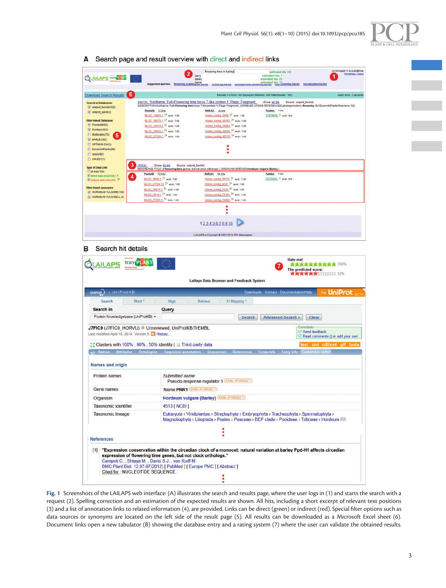

| AILAPS transplay                                                                     | suggested queries: flowering arabidovate in                         | flowering time in barley<br>2<br>barry<br>bailey                                                                                                                                                                                                       | estimated hits 106<br>estimated hits 1<br>estimated hits 25<br>estimated hits 10<br>my warres make cowering barley vernalization barley | you're logged in as guest@local<br>Homepage / logout |
|--------------------------------------------------------------------------------------|---------------------------------------------------------------------|--------------------------------------------------------------------------------------------------------------------------------------------------------------------------------------------------------------------------------------------------------|-----------------------------------------------------------------------------------------------------------------------------------------|------------------------------------------------------|
| 6<br><b>Download Search Results</b>                                                  |                                                                     |                                                                                                                                                                                                                                                        | Results 1-8 from 100 displayed (Ranked: 106 FilterResults: 105)                                                                         | Query time: 3 seconds                                |
| <b>Search in Databases:</b><br>uniprot_trembl(102)                                   |                                                                     | E9KTZ6; SubName: Full=Flowering time locus T-like protein 1; Flags: Fragment;<br>DESCRIPTION:SubName: Full=Flowering time locus T-like protein 1; Flags: Fragment; DATABASE CROSS-REFERENCES::photoperiodism, flowering; IEAEnsemblPlants/Gramene. GO; | (Score: 49.3%)<br>Source: uniprot_trembl)                                                                                               |                                                      |
| uniprot_sprot(3)                                                                     | PlantsDB 17 links                                                   | BARLEX 14 links                                                                                                                                                                                                                                        | PubMed 1 link                                                                                                                           |                                                      |
| <b>Filter linked Database:</b>                                                       | MLOC_74854.1 ** evid.: 1.00<br>MLOC_68576.1 - evid.: 1.00           | morex_contig_6666 -* evid.: 1.00<br>morex_contig_60163 ** evid.: 1.00                                                                                                                                                                                  | 21279626 = evid.: N/A                                                                                                                   |                                                      |
| V PlantsDB(92)                                                                       | MLOC 64619.2 ** evid.: 1.00                                         | morex_contig_54983 <sup>2*</sup> evid.: 1.00                                                                                                                                                                                                           |                                                                                                                                         |                                                      |
| V PubMed(102)<br>BioModels(73)<br>5                                                  | MLOC_58552.3 ** evid.: 1.00<br>MLOC 57326.1 ** evid.: 1.00          | morex_contig_49094 <sup>2*</sup> evid.: 1.00<br>morex_contig_42778 <sup>2*</sup> evid.: 1.00                                                                                                                                                           |                                                                                                                                         |                                                      |
| V BARLEX(92)                                                                         |                                                                     |                                                                                                                                                                                                                                                        |                                                                                                                                         |                                                      |
| OPTIMAS-DW(3)<br>EnsemblPlants(99)                                                   |                                                                     |                                                                                                                                                                                                                                                        |                                                                                                                                         |                                                      |
| $\Box$ gnpis(92)                                                                     |                                                                     |                                                                                                                                                                                                                                                        |                                                                                                                                         |                                                      |
| $CR-EST(7)$<br>3                                                                     | J7FIC9:<br>(Score: 48.4%                                            | Source: uniprot_trembl)                                                                                                                                                                                                                                |                                                                                                                                         |                                                      |
| <b>Type of Data Link:</b><br>all hits(106)                                           |                                                                     | REFERENCE TITLE: of flowering time genes, but not clock orthologs."; ORGANISM SPECIES Hordeum vulgare (Barley).                                                                                                                                        | 1 link                                                                                                                                  |                                                      |
| $\overline{\mathscr{L}}$ direct data links(106) $z$<br>4<br>Dindirect data links(95) | PlantsDB 73 links<br>MLOC_9998.3. <sup>2*</sup> evid: 1.00          | BARLEX 64 links<br>morex_conflig_94710_ <sup>2*</sup> evid.: 1.00                                                                                                                                                                                      | PubMed<br>22720803 <sup>2</sup> evid: N/A                                                                                               |                                                      |
| <b>Filter found synonyms:</b>                                                        | MLOC_81154.10 - evid: 1.00                                          | mores_contig_8227 ** evid: 1.00                                                                                                                                                                                                                        |                                                                                                                                         |                                                      |
| <b>FORDEUM VULGARE(100)</b>                                                          | MLOC_78870.1 - evid.: 1.00<br>MLOC_7814.1 <sup>2*</sup> evid.: 1.00 | morex_contig_7813 ** evid:: 1.00<br>morex_config_78124 - evid.: 1.00                                                                                                                                                                                   |                                                                                                                                         |                                                      |
| HORDEUM VULGARE L.(4)                                                                | MLOC_77967.1 ** evid.: 1.00                                         | morex_contig_74483 <sup>2*</sup> evid: 1.00                                                                                                                                                                                                            |                                                                                                                                         |                                                      |
|                                                                                      |                                                                     | ٠<br>٠                                                                                                                                                                                                                                                 |                                                                                                                                         |                                                      |
|                                                                                      |                                                                     | 12345678910                                                                                                                                                                                                                                            |                                                                                                                                         |                                                      |
|                                                                                      |                                                                     | LAILAPS is Copyright @ 2007-2014 IPK Gatersleben                                                                                                                                                                                                       |                                                                                                                                         |                                                      |
| Search hit details<br>в                                                              |                                                                     |                                                                                                                                                                                                                                                        |                                                                                                                                         |                                                      |
| AP⊆                                                                                  | trans PLANT                                                         | <b>Lailaps Data Browser and Feedback System</b>                                                                                                                                                                                                        | Rate me!                                                                                                                                | 食食食食食食食食食食 100%<br>The predicted score:<br>$2\%$     |
| > UniProtKB<br>UniProt <sub>2</sub>                                                  |                                                                     |                                                                                                                                                                                                                                                        | Downloads Contact Documentation/Help                                                                                                    | UniProt <sub>RET</sub><br>Try.                       |
| Search                                                                               | Blast <sup>'</sup><br>Align                                         | Retrieve<br>ID Mapping *                                                                                                                                                                                                                               |                                                                                                                                         |                                                      |
| <b>Search in</b>                                                                     | Query                                                               |                                                                                                                                                                                                                                                        |                                                                                                                                         |                                                      |
| Protein Knowledgebase (UniProtKB) -                                                  |                                                                     | <b>Search</b>                                                                                                                                                                                                                                          | <b>Advanced Search »</b>                                                                                                                | Clear                                                |
| Last modified April 16, 2014. Version 9. M History                                   | J7FIC9 (J7FIC9_HORVU) TUnreviewed, UniProtKB/TrEMBL                 |                                                                                                                                                                                                                                                        |                                                                                                                                         | Contribute<br>Send feedback                          |
|                                                                                      |                                                                     |                                                                                                                                                                                                                                                        |                                                                                                                                         | Read comments () or add your own                     |
|                                                                                      | :: Clusters with 100%, 90%, 50% identity   Third-party data         |                                                                                                                                                                                                                                                        |                                                                                                                                         | text xml rdf/xml gff fasta                           |
|                                                                                      | Mames Attributes Ontologies Sequence annotation Sequences           | References                                                                                                                                                                                                                                             | Cross-refs                                                                                                                              | <b>Entry info</b> Customize orde                     |
| <b>Names and origin</b>                                                              |                                                                     |                                                                                                                                                                                                                                                        |                                                                                                                                         |                                                      |
| <b>Protein names</b>                                                                 | Submitted name:                                                     |                                                                                                                                                                                                                                                        |                                                                                                                                         |                                                      |
|                                                                                      |                                                                     | Pseudo-response regulator 1 (EMBL AFO89282.1)                                                                                                                                                                                                          |                                                                                                                                         |                                                      |
| <b>Gene names</b>                                                                    |                                                                     | Name: PRR1 EMBL AFO692821                                                                                                                                                                                                                              |                                                                                                                                         |                                                      |
| Organism                                                                             |                                                                     | Hordeum vulgare (Barley) EMBL AFO69282.1                                                                                                                                                                                                               |                                                                                                                                         |                                                      |

<span id="page-2-0"></span>A Search page and result overview with direct and indirect links

Fig. 1 Screenshots of the LAILAPS web interface: (A) illustrates the search and results page, where the user logs in (1) and starts the search with a request (2). Spelling correction and an estimation of the expected results are shown. All hits, including a short excerpt of relevant text positions (3) and a list of annotation links to related information (4), are provided. Links can be direct (green) or indirect (red). Special filter options such as data sources or synonyms are located on the left side of the result page (5). All results can be downloaded as a Microsoft Excel sheet (6). Document links open a new tabulator (B) showing the database entry and a rating system (7) where the user can validate the obtained results.

[1] "Expression conservation within the circadian clock of a monocot: natural variation at barley Ppd-H1 affects circadian

Eukaryota > Viridiplantae > Streptophyta > Embryophyta > Tracheophyta > Spermatophyta > Magnoliophyta › Liliopsida › Poales › Poaceae › BEP clade › Pooideae › Triticeae › Hordeum [44]

**Taxonomic identifier** 

**Taxonomic lineage** 

References

4513 [ NCBI ]

expression of flowering time genes, but not clock orthologs."<br>Campoli C., Shtaya M., Davis S.J., von Korff M. BMC Plant Biol. 12:97-97(2012) [ PubMed ] [ Europe PMC ] [ Abstract ]

Cited for: NUCLEOTIDE SEQUENCE.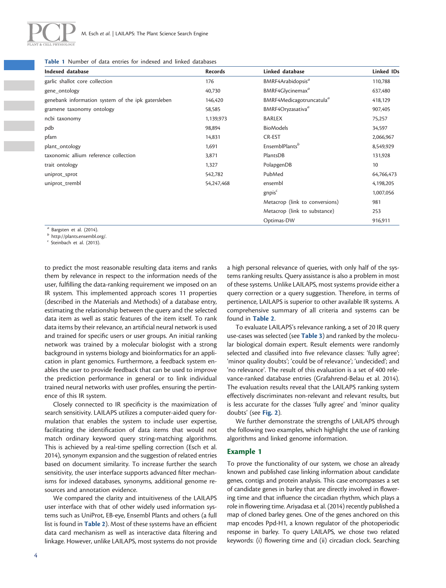<span id="page-3-0"></span>

Ξ

|  |  |  |  |  |  |  |  |  |  | <b>Table 1</b> Number of data entries for indexed and linked databases |  |
|--|--|--|--|--|--|--|--|--|--|------------------------------------------------------------------------|--|
|--|--|--|--|--|--|--|--|--|--|------------------------------------------------------------------------|--|

| Indexed database                                   | <b>Records</b> | Linked database                      | Linked IDs |
|----------------------------------------------------|----------------|--------------------------------------|------------|
| garlic shallot core collection                     | 176            | BMRF4Arabidopsis <sup>a</sup>        | 110,788    |
| gene_ontology                                      | 40,730         | BMRF4Glycinemax <sup>a</sup>         | 637,480    |
| genebank information system of the ipk gatersleben | 146,420        | BMRF4Medicagotruncatula <sup>a</sup> | 418,129    |
| gramene taxonomy ontology                          | 58,585         | BMRF4Oryzasativa <sup>a</sup>        | 907,405    |
| ncbi taxonomy                                      | 1,139,973      | <b>BARLEX</b>                        | 75,257     |
| pdb                                                | 98,894         | <b>BioModels</b>                     | 34,597     |
| pfam                                               | 14,831         | CR-EST                               | 2,066,967  |
| plant_ontology                                     | 1,691          | EnsemblPlants <sup>b</sup>           | 8,549,929  |
| taxonomic allium reference collection              | 3,871          | PlantsDB                             | 131,928    |
| trait ontology                                     | 1,327          | PolapgenDB                           | 10         |
| uniprot_sprot                                      | 542,782        | PubMed                               | 64,766,473 |
| uniprot_trembl                                     | 54,247,468     | ensembl                              | 4,198,205  |
|                                                    |                | gnpis <sup>c</sup>                   | 1,007,056  |
|                                                    |                | Metacrop (link to conversions)       | 981        |
|                                                    |                | Metacrop (link to substance)         | 253        |
|                                                    |                | Optimas-DW                           | 916,911    |

<sup>a</sup> [Bargsten et al. \(2014\).](#page-8-0)<br>
<sup>b</sup> [http://plants.ensembl.org/.](http://plants.ensembl.org/)<br>
<sup>c</sup> [Steinbach et al. \(2013\).](#page-9-0)

to predict the most reasonable resulting data items and ranks them by relevance in respect to the information needs of the user, fulfilling the data-ranking requirement we imposed on an IR system. This implemented approach scores 11 properties (described in the Materials and Methods) of a database entry, estimating the relationship between the query and the selected data item as well as static features of the item itself. To rank data items by their relevance, an artificial neural network is used and trained for specific users or user groups. An initial ranking network was trained by a molecular biologist with a strong background in systems biology and bioinformatics for an application in plant genomics. Furthermore, a feedback system enables the user to provide feedback that can be used to improve the prediction performance in general or to link individual trained neural networks with user profiles, ensuring the pertinence of this IR system.

Closely connected to IR specificity is the maximization of search sensitivity. LAILAPS utilizes a computer-aided query formulation that enables the system to include user expertise, facilitating the identification of data items that would not match ordinary keyword query string-matching algorithms. This is achieved by a real-time spelling correction ([Esch et al.](#page-8-0) [2014\)](#page-8-0), synonym expansion and the suggestion of related entries based on document similarity. To increase further the search sensitivity, the user interface supports advanced filter mechanisms for indexed databases, synonyms, additional genome resources and annotation evidence.

We compared the clarity and intuitiveness of the LAILAPS user interface with that of other widely used information systems such as UniProt, EB-eye, Ensembl Plants and others (a full list is found in [Table 2](#page-4-0)). Most of these systems have an efficient data card mechanism as well as interactive data filtering and linkage. However, unlike LAILAPS, most systems do not provide

a high personal relevance of queries, with only half of the systems ranking results. Query assistance is also a problem in most of these systems. Unlike LAILAPS, most systems provide either a query correction or a query suggestion. Therefore, in terms of pertinence, LAILAPS is superior to other available IR systems. A comprehensive summary of all criteria and systems can be found in [Table 2](#page-4-0).

To evaluate LAILAPS's relevance ranking, a set of 20 IR query use-cases was selected (see [Table 3](#page-5-0)) and ranked by the molecular biological domain expert. Result elements were randomly selected and classified into five relevance classes: 'fully agree'; 'minor quality doubts'; 'could be of relevance'; 'undecided'; and 'no relevance'. The result of this evaluation is a set of 400 relevance-ranked database entries ([Grafahrend-Belau et al. 2014](#page-8-0)). The evaluation results reveal that the LAILAPS ranking system effectively discriminates non-relevant and relevant results, but is less accurate for the classes 'fully agree' and 'minor quality doubts' (see [Fig. 2](#page-6-0)).

We further demonstrate the strengths of LAILAPS through the following two examples, which highlight the use of ranking algorithms and linked genome information.

# Example 1

To prove the functionality of our system, we chose an already known and published case linking information about candidate genes, contigs and protein analysis. This case encompasses a set of candidate genes in barley that are directly involved in flowering time and that influence the circadian rhythm, which plays a role in flowering time. [Ariyadasa et al. \(2014\)](#page-8-0) recently published a map of cloned barley genes. One of the genes anchored on this map encodes Ppd-H1, a known regulator of the photoperiodic response in barley. To query LAILAPS, we chose two related keywords: (i) flowering time and (ii) circadian clock. Searching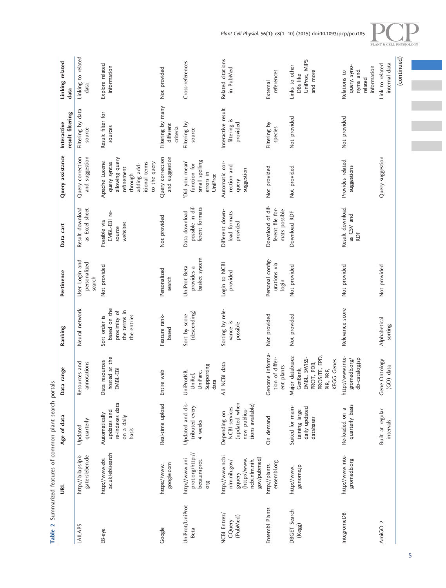<span id="page-4-0"></span>

|                                    |                                                                                            | Table 2 Summarized features of common plant search portals                                |                                                                                                                 |                                                                              |                                             |                                                       |                                                                                                                          |                                                |                                                                    |
|------------------------------------|--------------------------------------------------------------------------------------------|-------------------------------------------------------------------------------------------|-----------------------------------------------------------------------------------------------------------------|------------------------------------------------------------------------------|---------------------------------------------|-------------------------------------------------------|--------------------------------------------------------------------------------------------------------------------------|------------------------------------------------|--------------------------------------------------------------------|
|                                    | <b>BL</b>                                                                                  | Age of data                                                                               | Data range                                                                                                      | Ranking                                                                      | Pertinence                                  | Data cart                                             | Query assistance                                                                                                         | result filtering<br>Interactive                | Linking related<br>data                                            |
| LAILAPS                            | http://lailaps.ipk-<br>gatersleben.de                                                      | quarterly<br>Updated                                                                      | Resources and<br>annotations                                                                                    | Neural network                                                               | User Login and<br>personalized<br>search    | Result download<br>as Excel sheet                     | and suggestion<br>Query correction                                                                                       | Filtering by data<br>source                    | Linking to related<br>data                                         |
| EB-eye                             | ac.uk/ebisearch<br>http://www.ebi.                                                         | re-indexes data<br>updates and<br>Automatically<br>on a daily<br>basis                    | hosted at the<br>Data resources<br>EMBL-EBI                                                                     | based on the<br>proximity of<br>the terms in<br>the entries<br>Sort order is | Not provided                                | EMBL-EBI re-<br>Possible via<br>websites<br>source    | allowing query<br>Apache Lucene<br>to the query<br>query syntax<br>itional terms<br>adding add-<br>refinement<br>through | Result filter for<br>sources                   | Explore related<br>information                                     |
| Google                             | google.com<br>https://www.                                                                 | Real-time upload                                                                          | Entire web                                                                                                      | Feature rank-<br>based                                                       | Personalized<br>search                      | Not provided                                          | Query correction<br>and suggestion                                                                                       | Filtering by many<br>different<br>criteria     | Not provided                                                       |
| UniProt/UniProt<br>Beta            | prot.org/http://<br>http://www.uni<br>beta.uniprot.<br>org                                 | Updated and dis-<br>tributed every<br>4 weeks                                             | Supporting<br>UniProtKB,<br>UniParc,<br>UniRef,<br>data                                                         | (descending)<br>Sort by score                                                | basket system<br>UniProt Beta<br>provides a | possible in dif-<br>ferent formats<br>Data download   | small spelling<br>Did you mean'<br>function for<br>errors in<br>UniProt                                                  | Filtering by<br>source                         | Cross-references                                                   |
| NCBI Entrez/<br>(PubMed)<br>GQuery | http://www.ncbi.<br>gov/pubmed)<br>(http://www.<br>ncbi.nlm.nih.<br>nlm.nih.gov/<br>gquery | (updated when<br>tions available)<br><b>NCBI</b> services<br>new publica-<br>Depending on | data<br>All NCBI                                                                                                | Sorting by rele-<br>vance is<br>possible                                     | Login to NCBI<br>provided                   | Different down-<br>load formats<br>provided           | Automatic cor-<br>rection and<br>suggestion<br>query                                                                     | Interactive result<br>filtering is<br>provided | Related citations<br>in PubMed                                     |
| Ensembl Plants                     | ensembl.org<br>http://plants.                                                              | On demand                                                                                 | informa-<br>tion of differ-<br>ent plants<br>Genome                                                             | Not provided                                                                 | Personal config-<br>urations via<br>login   | Download of dif-<br>ferent file for-<br>mats possible | Not provided                                                                                                             | Filtering by<br>species                        | references<br>External                                             |
| DBGET Search<br>(kegg)             | genome.jp<br>http://www.                                                                   | Suited for main-<br>daily updated<br>taining large<br>databases                           | Major databases:<br>PROSITE, EPD,<br>SWISS-<br>Genes<br>PDB,<br>GenBank,<br>PIR, PRF,<br>EMBL,<br>PROT,<br>KEGG | Not provided                                                                 | Not provided                                | Download RDF                                          | Not provided                                                                                                             | Not provided                                   | UniProt, MIPS<br>Links to other<br>and more<br>DBs like            |
| IntegromeDB                        | http://www.inte-<br>gromedb.org                                                            | quarterly basis<br>Re-loaded on a                                                         | http://www.inte-<br>db-catalog.jsp<br>gromedb.org/                                                              | Relevance score                                                              | Not provided                                | Result download<br>as CSV and<br>RDF                  | Provides related<br>suggestions                                                                                          | Not provided                                   | query, syno-<br>information<br>nyms and<br>Relations to<br>related |
| AmiGO <sub>2</sub>                 |                                                                                            | Built at regular<br>intervals                                                             | Gene Ontology<br>data<br>(CO)                                                                                   | Alphabetical<br>sorting                                                      | Not provided                                |                                                       | Query suggestion                                                                                                         |                                                | internal data<br>Link to related                                   |
|                                    |                                                                                            |                                                                                           |                                                                                                                 |                                                                              |                                             |                                                       |                                                                                                                          |                                                | (continued)                                                        |



 $\frac{1}{2}$ 

5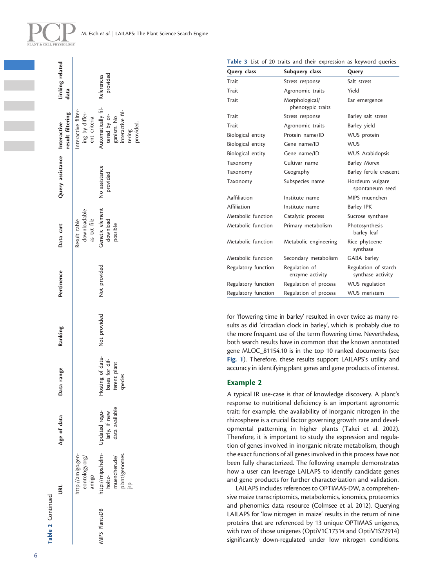<span id="page-5-0"></span>

| PLANT & CELL PHYSIOLOGY |
|-------------------------|

|                      | รี                                                                                 | Age of data                                  | Data range                                                                   | Ranking      | Pertinence   | Data cart                                   | Query assistance Interactive | result filtering                                                                          | Linking related<br>data |
|----------------------|------------------------------------------------------------------------------------|----------------------------------------------|------------------------------------------------------------------------------|--------------|--------------|---------------------------------------------|------------------------------|-------------------------------------------------------------------------------------------|-------------------------|
|                      | http://amigo.gen-<br>eontology.org/<br>amigo                                       |                                              |                                                                              |              |              | downloadable<br>as txt file<br>Result table |                              | Interactive filter-<br>ing by differ-<br>ent criteria                                     |                         |
| <b>AIPS PlantsDB</b> | http://mips.helm- Updated regu-<br>plant/genomes.<br>nuenchen.de/<br>holtz-<br>dsl | available<br>larly, if new<br>data available | of data-<br>for dif-<br>bases for dif-<br>ferent plant<br>species<br>Hosting | Not provided | Not provided | Genetic element<br>download<br>possible     | No assistance<br>provided    | utomatically fil-<br>nteractive fil-<br>tered by or-<br>ganism. No<br>provided.<br>tering | provided<br>References  |

| Table 3 List of 20 traits and their expression as keyword queries |  |  |
|-------------------------------------------------------------------|--|--|
|-------------------------------------------------------------------|--|--|

| Query class         | Subquery class                      | Query                                     |
|---------------------|-------------------------------------|-------------------------------------------|
| Trait               | Stress response                     | Salt stress                               |
| Trait               | Agronomic traits                    | Yield                                     |
| Trait               | Morphological/<br>phenotypic traits | Ear emergence                             |
| Trait               | Stress response                     | Barley salt stress                        |
| Trait               | Agronomic traits                    | Barley yield                              |
| Biological entity   | Protein name/ID                     | WUS protein                               |
| Biological entity   | Gene name/ID                        | <b>WUS</b>                                |
| Biological entity   | Gene name/ID                        | <b>WUS Arabidopsis</b>                    |
| Taxonomy            | Cultivar name                       | <b>Barley Morex</b>                       |
| Taxonomy            | Geography                           | Barley fertile crescent                   |
| Taxonomy            | Subspecies name                     | Hordeum vulgare<br>spontaneum seed        |
| Aaffiliation        | Institute name                      | MIPS muenchen                             |
| Affiliation         | Institute name                      | <b>Barley IPK</b>                         |
| Metabolic function  | Catalytic process                   | Sucrose synthase                          |
| Metabolic function  | Primary metabolism                  | Photosynthesis<br>barley leaf             |
| Metabolic function  | Metabolic engineering               | Rice phytoene<br>synthase                 |
| Metabolic function  | Secondary metabolism                | GABA barley                               |
| Regulatory function | Regulation of<br>enzyme activity    | Regulation of starch<br>synthase activity |
| Regulatory function | Regulation of process               | WUS regulation                            |
| Regulatory function | Regulation of process               | <b>WUS</b> meristem                       |

for 'flowering time in barley' resulted in over twice as many results as did 'circadian clock in barley', which is probably due to the more frequent use of the term flowering time. Nevertheless, both search results have in common that the known annotated gene MLOC\_81154.10 is in the top 10 ranked documents (see [Fig. 1](#page-2-0)). Therefore, these results support LAILAPS's utility and accuracy in identifying plant genes and gene products of interest.

## Example 2

A typical IR use-case is that of knowledge discovery. A plant's response to nutritional deficiency is an important agronomic trait; for example, the availability of inorganic nitrogen in the rhizosphere is a crucial factor governing growth rate and developmental patterning in higher plants ([Takei et al. 2002](#page-9-0)). Therefore, it is important to study the expression and regulation of genes involved in inorganic nitrate metabolism, though the exact functions of all genes involved in this process have not been fully characterized. The following example demonstrates how a user can leverage LAILAPS to identify candidate genes and gene products for further characterization and validation.

LAILAPS includes references to OPTIMAS-DW, a comprehensive maize transcriptomics, metabolomics, ionomics, proteomics and phenomics data resource [\(Colmsee et al. 2012](#page-8-0)). Querying LAILAPS for 'low nitrogen in maize' results in the return of nine proteins that are referenced by 13 unique OPTIMAS unigenes, with two of those unigenes (OptiV1C17314 and OptiV1S22914) significantly down-regulated under low nitrogen conditions.

Table 2 Continued

Table 2 Continued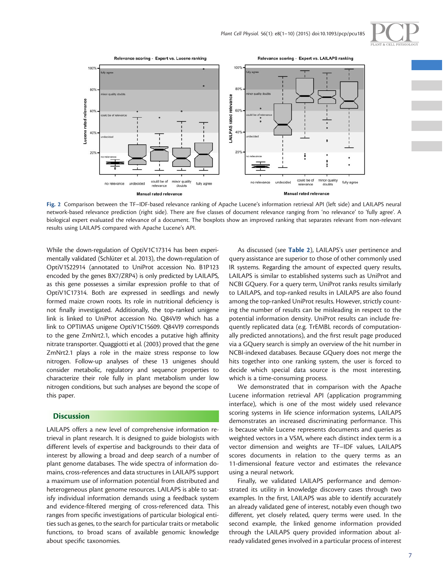

<span id="page-6-0"></span>

Fig. 2 Comparison between the TF–IDF-based relevance ranking of Apache Lucene's information retrieval API (left side) and LAILAPS neural network-based relevance prediction (right side). There are five classes of document relevance ranging from 'no relevance' to 'fully agree'. A biological expert evaluated the relevance of a document. The boxplots show an improved ranking that separates relevant from non-relevant results using LAILAPS compared with Apache Lucene's API.

While the down-regulation of OptiV1C17314 has been experimentally validated (Schlüter et al. 2013), the down-regulation of OptiV1S22914 (annotated to UniProt accession No. B1P123 encoded by the genes BX7/ZRP4) is only predicted by LAILAPS, as this gene possesses a similar expression profile to that of OptiV1C17314. Both are expressed in seedlings and newly formed maize crown roots. Its role in nutritional deficiency is not finally investigated. Additionally, the top-ranked unigene link is linked to UniProt accession No. Q84VI9 which has a link to OPTIMAS unigene OptiV1C15609. Q84VI9 corresponds to the gene ZmNrt2.1, which encodes a putative high affinity nitrate transporter. [Quaggiotti et al. \(2003\)](#page-8-0) proved that the gene ZmNrt2.1 plays a role in the maize stress response to low nitrogen. Follow-up analyses of these 13 unigenes should consider metabolic, regulatory and sequence properties to characterize their role fully in plant metabolism under low nitrogen conditions, but such analyses are beyond the scope of this paper.

## **Discussion**

LAILAPS offers a new level of comprehensive information retrieval in plant research. It is designed to guide biologists with different levels of expertise and backgrounds to their data of interest by allowing a broad and deep search of a number of plant genome databases. The wide spectra of information domains, cross-references and data structures in LAILAPS support a maximum use of information potential from distributed and heterogeneous plant genome resources. LAILAPS is able to satisfy individual information demands using a feedback system and evidence-filtered merging of cross-referenced data. This ranges from specific investigations of particular biological entities such as genes, to the search for particular traits or metabolic functions, to broad scans of available genomic knowledge about specific taxonomies.

As discussed (see [Table 2](#page-4-0)), LAILAPS's user pertinence and query assistance are superior to those of other commonly used IR systems. Regarding the amount of expected query results, LAILAPS is similar to established systems such as UniProt and NCBI GQuery. For a query term, UniProt ranks results similarly to LAILAPS, and top-ranked results in LAILAPS are also found among the top-ranked UniProt results. However, strictly counting the number of results can be misleading in respect to the potential information density. UniProt results can include frequently replicated data (e.g. TrEMBL records of computationally predicted annotations), and the first result page produced via a GQuery search is simply an overview of the hit number in NCBI-indexed databases. Because GQuery does not merge the hits together into one ranking system, the user is forced to decide which special data source is the most interesting, which is a time-consuming process.

We demonstrated that in comparison with the Apache Lucene information retrieval API (application programming interface), which is one of the most widely used relevance scoring systems in life science information systems, LAILAPS demonstrates an increased discriminating performance. This is because while Lucene represents documents and queries as weighted vectors in a VSM, where each distinct index term is a vector dimension and weights are TF–IDF values, LAILAPS scores documents in relation to the query terms as an 11-dimensional feature vector and estimates the relevance using a neural network.

Finally, we validated LAILAPS performance and demonstrated its utility in knowledge discovery cases through two examples. In the first, LAILAPS was able to identify accurately an already validated gene of interest, notably even though two different, yet closely related, query terms were used. In the second example, the linked genome information provided through the LAILAPS query provided information about already validated genes involved in a particular process of interest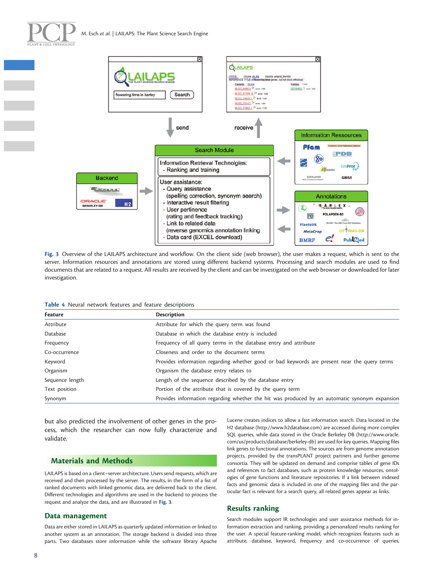

<span id="page-7-0"></span>



Fig. 3 Overview of the LAILAPS architecture and workflow. On the client side (web browser), the user makes a request, which is sent to the server. Information resources and annotations are stored using different backend systems. Processing and search modules are used to find documents that are related to a request. All results are received by the client and can be investigated on the web browser or downloaded for later investigation.

| Table 4 Neural network features and feature descriptions |  |
|----------------------------------------------------------|--|
|----------------------------------------------------------|--|

| Feature         | <b>Description</b>                                                                            |  |
|-----------------|-----------------------------------------------------------------------------------------------|--|
| Attribute       | Attribute for which the query term was found                                                  |  |
| Database        | Database in which the database entry is included                                              |  |
| Frequency       | Frequency of all query terms in the database entry and attribute                              |  |
| Co-occurrence   | Closeness and order to the document terms                                                     |  |
| Keyword         | Provides information regarding whether good or bad keywords are present near the query terms  |  |
| Organism        | Organism the database entry relates to                                                        |  |
| Sequence length | Length of the sequence described by the database entry                                        |  |
| Text position   | Portion of the attribute that is covered by the query term                                    |  |
| Synonym         | Provides information regarding whether the hit was produced by an automatic synonym expansion |  |

but also predicted the involvement of other genes in the process, which the researcher can now fully characterize and validate.

# Materials and Methods

LAILAPS is based on a client–server architecture. Users send requests, which are received and then processed by the server. The results, in the form of a list of ranked documents with linked genomic data, are delivered back to the client. Different technologies and algorithms are used in the backend to process the request and analyze the data, and are illustrated in Fig. 3.

#### Data management

Data are either stored in LAILAPS as quarterly updated information or linked to another system as an annotation. The storage backend is divided into three parts. Two databases store information while the software library Apache

Lucene creates indices to allow a fast information search. Data located in the H2 database ([http://www.h2database.com\)](http://www.h2database.com) are accessed during more complex SQL queries, while data stored in the Oracle Berkeley DB ([http://www.oracle.](http://www.oracle.com/us/products/database/berkeley-db) [com/us/products/database/berkeley-db\)](http://www.oracle.com/us/products/database/berkeley-db) are used for key queries. Mapping files link genes to functional annotations. The sources are from genome annotation projects, provided by the transPLANT project partners and further genome consortia. They will be updated on demand and comprise tables of gene IDs and references to fact databases, such as protein knowledge resources, ontologies of gene functions and literature repositories. If a link between indexed facts and genomic data is included in one of the mapping files and the particular fact is relevant for a search query, all related genes appear as links.

## Results ranking

Search modules support IR technologies and user assistance methods for information extraction and ranking, providing a personalized results ranking for the user. A special feature-ranking model, which recognizes features such as attribute, database, keyword, frequency and co-occurrence of queries,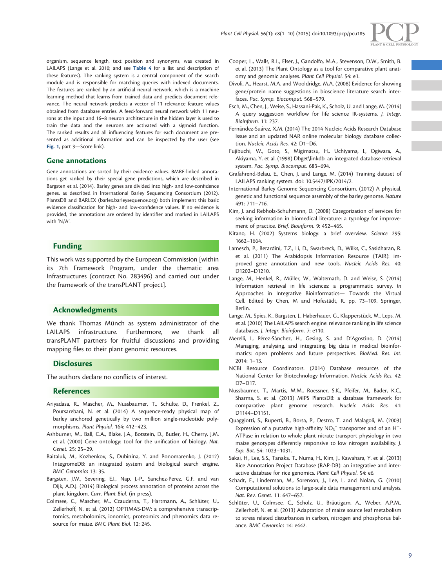

<span id="page-8-0"></span>organism, sequence length, text position and synonyms, was created in LAILAPS (Lange et al. 2010; and see [Table 4](#page-7-0) for a list and description of these features). The ranking system is a central component of the search module and is responsible for matching queries with indexed documents. The features are ranked by an artificial neural network, which is a machine learning method that learns from trained data and predicts document relevance. The neural network predicts a vector of 11 relevance feature values obtained from database entries. A feed-forward neural network with 11 neurons at the input and 16–8 neuron architecture in the hidden layer is used to train the data and the neurons are activated with a sigmoid function. The ranked results and all influencing features for each document are presented as additional information and can be inspected by the user (see [Fig. 1](#page-2-0), part 3—Score link).

#### Gene annotations

Gene annotations are sorted by their evidence values. BMRF-linked annotations get ranked by their special gene predictions, which are described in Bargsten et al. (2014). Barley genes are divided into high- and low-confidence genes, as described in International Barley Sequencing Consortium (2012). PlantsDB and BARLEX (barlex.barleysequence.org) both implement this basic evidence classification for high- and low-confidence values. If no evidence is provided, the annotations are ordered by identifier and marked in LAILAPS with 'N/A'.

## Funding

This work was supported by the European Commission [within its 7th Framework Program, under the thematic area Infrastructures (contract No. 283496) and carried out under the framework of the transPLANT project].

## Acknowledgments

We thank Thomas Münch as system administrator of the LAILAPS infrastructure. Furthermore, we thank all transPLANT partners for fruitful discussions and providing mapping files to their plant genomic resources.

## **Disclosures**

The authors declare no conflicts of interest.

### References

- Ariyadasa, R., Mascher, M., Nussbaumer, T., Schulte, D., Frenkel, Z., Poursarebani, N. et al. (2014) A sequence-ready physical map of barley anchored genetically by two million single-nucleotide polymorphisms. Plant Physiol. 164: 412–423.
- Ashburner, M., Ball, C.A., Blake, J.A., Botstein, D., Butler, H., Cherry, J.M. et al. (2000) Gene ontology: tool for the unification of biology. Nat. Genet. 25: 25–29.
- Baitaluk, M., Kozhenkov, S., Dubinina, Y. and Ponomarenko, J. (2012) IntegromeDB: an integrated system and biological search engine. BMC Genomics 13: 35.
- Bargsten, J.W., Severing, E.I., Nap, J.-P., Sanchez-Perez, G.F. and van Dijk, A.D.J. (2014) Biological process annotation of proteins across the plant kingdom. Curr. Plant Biol. (in press).
- Colmsee, C., Mascher, M., Czauderna, T., Hartmann, A., Schlüter, U., Zellerhoff, N. et al. (2012) OPTIMAS-DW: a comprehensive transcriptomics, metabolomics, ionomics, proteomics and phenomics data resource for maize. BMC Plant Biol. 12: 245.
- Cooper, L., Walls, R.L., Elser, J., Gandolfo, M.A., Stevenson, D.W., Smith, B. et al. (2013) The Plant Ontology as a tool for comparative plant anatomy and genomic analyses. Plant Cell Physiol. 54: e1.
- Divoli, A., Hearst, M.A. and Wooldridge, M.A. (2008) Evidence for showing gene/protein name suggestions in bioscience literature search interfaces. Pac. Symp. Biocomput. 568–579.
- Esch, M., Chen, J., Weise, S., Hassani-Pak, K., Scholz, U. and Lange, M. (2014) A query suggestion workflow for life science IR-systems. J. Integr. Bioinform. 11: 237.
- Fernández-Suárez, X.M. (2014) The 2014 Nucleic Acids Research Database Issue and an updated NAR online molecular biology database collection. Nucleic Acids Res. 42: D1–D6.
- Fujibuchi, W., Goto, S., Migimatsu, H., Uchiyama, I., Ogiwara, A., Akiyama, Y. et al. (1998) Dbget\linkdb: an integrated database retrieval system. Pac. Symp. Biocomput. 683–694.
- Grafahrend-Belau, E., Chen, J. and Lange, M. (2014) Training dataset of LAILAPS ranking system. doi: 10.5447/IPK/2014/2.
- International Barley Genome Sequencing Consortium. (2012) A physical, genetic and functional sequence assembly of the barley genome. Nature 491: 711–716.
- Kim, J. and Rebholz-Schuhmann, D. (2008) Categorization of services for seeking information in biomedical literature: a typology for improvement of practice. Brief. Bioinform. 9: 452–465.
- Kitano, H. (2002) Systems biology: a brief overview. Science 295: 1662–1664.
- Lamesch, P., Berardini, T.Z., Li, D., Swarbreck, D., Wilks, C., Sasidharan, R. et al. (2011) The Arabidopsis Information Resource (TAIR): improved gene annotation and new tools. Nucleic Acids Res. 40: D1202–D1210.
- Lange, M., Henkel, R., Müller, W., Waltemath, D. and Weise, S. (2014) Information retrieval in life sciences: a programmatic survey. In Approaches in Integrative Bioinformatics— Towards the Virtual Cell. Edited by Chen, M and Hofestädt, R. pp. 73-109. Springer, Berlin.
- Lange, M., Spies, K., Bargsten, J., Haberhauer, G., Klapperstück, M., Leps, M. et al. (2010) The LAILAPS search engine: relevance ranking in life science databases. J. Integr. Bioinform. 7: e110.
- Merelli, I., Pérez-Sánchez, H., Gesing, S. and D'Agostino, D. (2014) Managing, analysing, and integrating big data in medical bioinformatics: open problems and future perspectives. BioMed. Res. Int. 2014: 1–13.
- NCBI Resource Coordinators. (2014) Database resources of the National Center for Biotechnology Information. Nucleic Acids Res. 42: D7–D17.
- Nussbaumer, T., Martis, M.M., Roessner, S.K., Pfeifer, M., Bader, K.C., Sharma, S. et al. (2013) MIPS PlantsDB: a database framework for comparative plant genome research. Nucleic Acids Res. 41: D1144–D1151.
- Quaggiotti, S., Ruperti, B., Borsa, P., Destro, T. and Malagoli, M. (2003) Expression of a putative high-affinity  $NO_3^-$  transporter and of an H<sup>+</sup>-ATPase in relation to whole plant nitrate transport physiology in two maize genotypes differently responsive to low nitrogen availability. J. Exp. Bot. 54: 1023–1031.
- Sakai, H., Lee, S.S., Tanaka, T., Numa, H., Kim, J., Kawahara, Y. et al. (2013) Rice Annotation Project Database (RAP-DB): an integrative and interactive database for rice genomics. Plant Cell Physiol. 54: e6.
- Schadt, E., Linderman, M., Sorenson, J., Lee, L. and Nolan, G. (2010) Computational solutions to large-scale data management and analysis. Nat. Rev. Genet. 11: 647–657.
- Schlüter, U., Colmsee, C., Scholz, U., Bräutigam, A., Weber, A.P.M., Zellerhoff, N. et al. (2013) Adaptation of maize source leaf metabolism to stress related disturbances in carbon, nitrogen and phosphorus balance. BMC Genomics 14: e442.